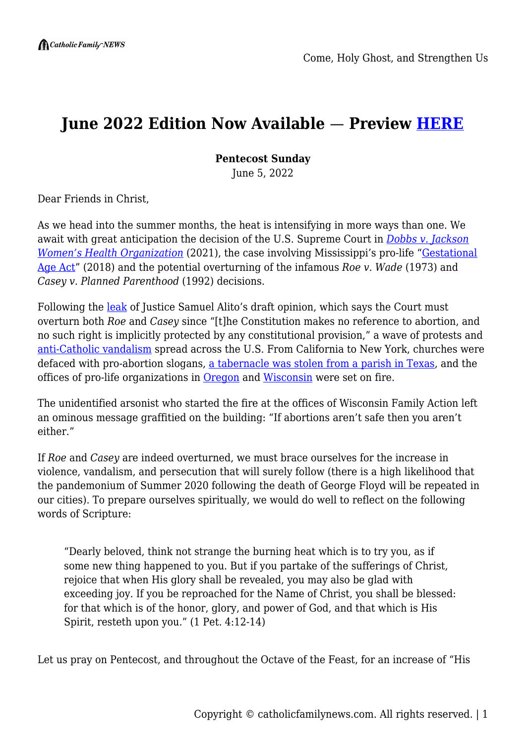## **June 2022 Edition Now Available** — **Preview [HERE](https://catholicfamilynews.com/this-month-edition/)**

**Pentecost Sunday**

June 5, 2022

Dear Friends in Christ,

As we head into the summer months, the heat is intensifying in more ways than one. We await with great anticipation the decision of the U.S. Supreme Court in *[Dobbs v. Jackson](https://www.scotusblog.com/case-files/cases/dobbs-v-jackson-womens-health-organization/) <u>[Women's Health Organization](https://www.scotusblog.com/case-files/cases/dobbs-v-jackson-womens-health-organization/)</u>* (2021), the case involving Mississippi's pro-life "*[Gestational](http://billstatus.ls.state.ms.us/documents/2018/pdf/HB/1500-1599/HB1510SG.pdf)* [Age Act](http://billstatus.ls.state.ms.us/documents/2018/pdf/HB/1500-1599/HB1510SG.pdf)" (2018) and the potential overturning of the infamous *Roe v. Wade* (1973) and *Casey v. Planned Parenthood* (1992) decisions.

Following the [leak](https://www.politico.com/news/2022/05/02/supreme-court-abortion-draft-opinion-00029473) of Justice Samuel Alito's draft opinion, which says the Court must overturn both *Roe* and *Casey* since "[t]he Constitution makes no reference to abortion, and no such right is implicitly protected by any constitutional provision," a wave of protests and [anti-Catholic vandalism](https://www.catholicnewsagency.com/news/251198/vandalism-attacks-catholics-abortion-draft) spread across the U.S. From California to New York, churches were defaced with pro-abortion slogans, [a tabernacle was stolen from a parish in Texas](https://www.lifesitenews.com/news/catholic-tabernacle-stolen-after-radical-pro-abortion-group-announces-they-will-be-burning-the-eucharist/), and the offices of pro-life organizations in [Oregon](https://www.ortl.org/2022/05/oregon-right-to-life-offices-damaged-in-attack/) and [Wisconsin](https://www.cbs58.com/news/new-details-emerge-on-wisconsin-family-action-attack) were set on fire.

The unidentified arsonist who started the fire at the offices of Wisconsin Family Action left an ominous message graffitied on the building: "If abortions aren't safe then you aren't either."

If *Roe* and *Casey* are indeed overturned, we must brace ourselves for the increase in violence, vandalism, and persecution that will surely follow (there is a high likelihood that the pandemonium of Summer 2020 following the death of George Floyd will be repeated in our cities). To prepare ourselves spiritually, we would do well to reflect on the following words of Scripture:

"Dearly beloved, think not strange the burning heat which is to try you, as if some new thing happened to you. But if you partake of the sufferings of Christ, rejoice that when His glory shall be revealed, you may also be glad with exceeding joy. If you be reproached for the Name of Christ, you shall be blessed: for that which is of the honor, glory, and power of God, and that which is His Spirit, resteth upon you." (1 Pet. 4:12-14)

Let us pray on Pentecost, and throughout the Octave of the Feast, for an increase of "His